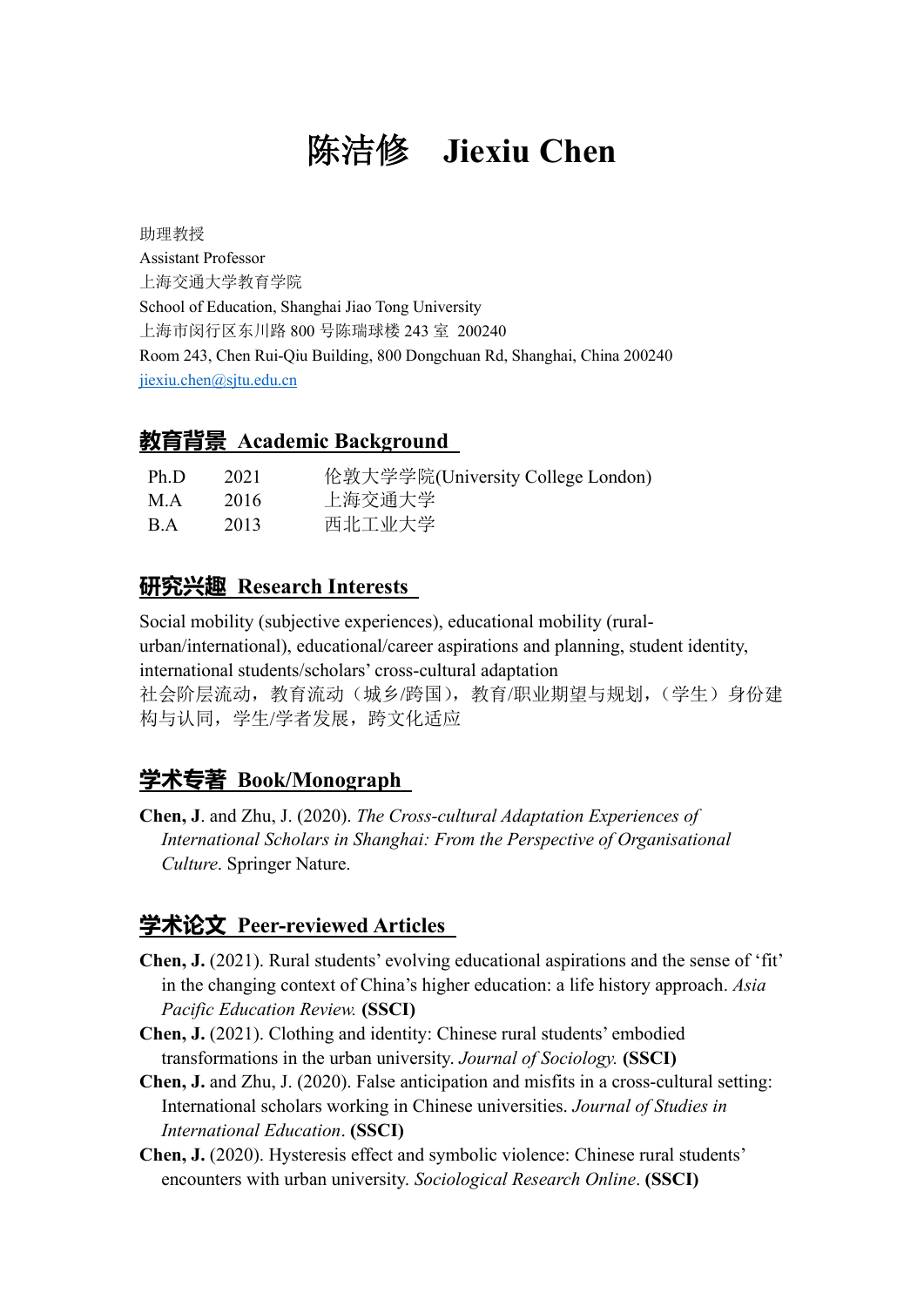# 陈洁修 **Jiexiu Chen**

助理教授 Assistant Professor 上海交通大学教育学院 School of Education, Shanghai Jiao Tong University 上海市闵行区东川路 800 号陈瑞球楼 243 室 200240 Room 243, Chen Rui-Qiu Building, 800 Dongchuan Rd, Shanghai, China 200240 jiexiu.che[n@sjtu.edu.cn](mailto:jiexiu@sjtu.edu.cn)

#### **教育背景 Academic Background**

| Ph.D                          | 2021 | 伦敦大学学院(University College London) |
|-------------------------------|------|-----------------------------------|
| M.A                           | 2016 | 上海交通大学                            |
| $\mathbf{B} \cdot \mathbf{A}$ | 2013 | 西北工业大学                            |

#### **研究兴趣 Research Interests**

Social mobility (subjective experiences), educational mobility (ruralurban/international), educational/career aspirations and planning, student identity, international students/scholars' cross-cultural adaptation 社会阶层流动,教育流动(城乡/跨国),教育/职业期望与规划,(学生)身份建 构与认同,学生/学者发展,跨文化适应

## **学术专著 Book/Monograph**

**Chen, J**. and Zhu, J. (2020). *The Cross-cultural Adaptation Experiences of International Scholars in Shanghai: From the Perspective of Organisational Culture*. Springer Nature.

# **学术论文 Peer-reviewed Articles**

- **Chen, J.** (2021). Rural students' evolving educational aspirations and the sense of 'fit' in the changing context of China's higher education: a life history approach. *Asia Pacific Education Review.* **(SSCI)**
- **Chen, J.** (2021). Clothing and identity: Chinese rural students' embodied transformations in the urban university. *Journal of Sociology.* **(SSCI)**
- **Chen, J.** and Zhu, J. (2020). False anticipation and misfits in a cross-cultural setting: International scholars working in Chinese universities. *Journal of Studies in International Education*. **(SSCI)**
- **Chen, J.** (2020). Hysteresis effect and symbolic violence: Chinese rural students' encounters with urban university. *Sociological Research Online*. **(SSCI)**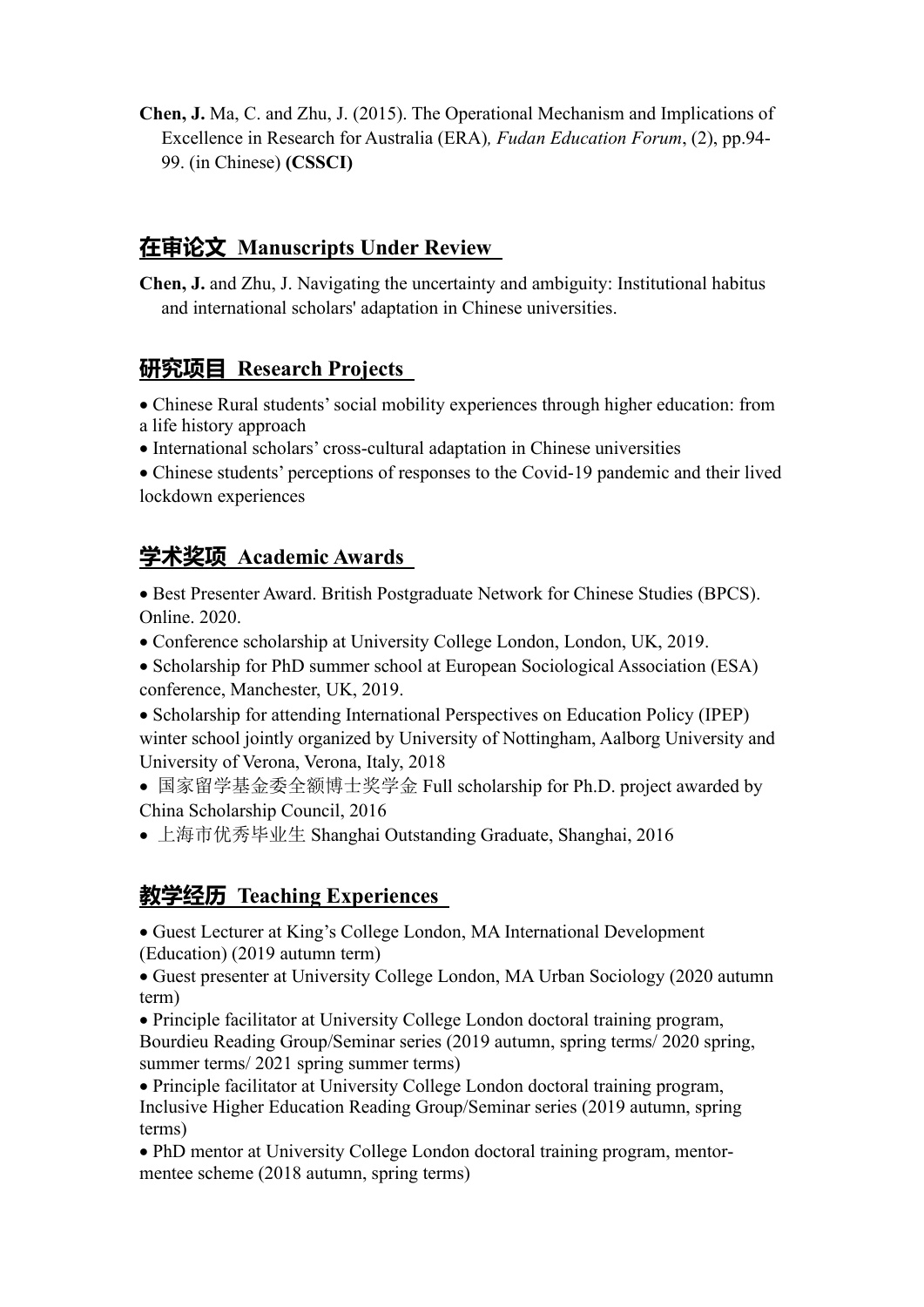**Chen, J.** Ma, C. and Zhu, J. (2015). The Operational Mechanism and Implications of Excellence in Research for Australia (ERA)*, Fudan Education Forum*, (2), pp.94- 99. (in Chinese) **(CSSCI)**

## **在审论文 Manuscripts Under Review**

**Chen, J.** and Zhu, J. Navigating the uncertainty and ambiguity: Institutional habitus and international scholars' adaptation in Chinese universities.

#### **研究项目 Research Projects**

- Chinese Rural students' social mobility experiences through higher education: from a life history approach
- International scholars' cross-cultural adaptation in Chinese universities

• Chinese students' perceptions of responses to the Covid-19 pandemic and their lived lockdown experiences

## **学术奖项 Academic Awards**

• Best Presenter Award. British Postgraduate Network for Chinese Studies (BPCS). Online. 2020.

- Conference scholarship at University College London, London, UK, 2019.
- Scholarship for PhD summer school at European Sociological Association (ESA) conference, Manchester, UK, 2019.
- Scholarship for attending International Perspectives on Education Policy (IPEP) winter school jointly organized by University of Nottingham, Aalborg University and University of Verona, Verona, Italy, 2018
- 国家留学基金委全额博士奖学金 Full scholarship for Ph.D. project awarded by China Scholarship Council, 2016
- 上海市优秀毕业生 Shanghai Outstanding Graduate, Shanghai, 2016

## **教学经历 Teaching Experiences**

• Guest Lecturer at King's College London, MA International Development (Education) (2019 autumn term)

• Guest presenter at University College London, MA Urban Sociology (2020 autumn term)

• Principle facilitator at University College London doctoral training program, Bourdieu Reading Group/Seminar series (2019 autumn, spring terms/ 2020 spring, summer terms/ 2021 spring summer terms)

• Principle facilitator at University College London doctoral training program, Inclusive Higher Education Reading Group/Seminar series (2019 autumn, spring terms)

• PhD mentor at University College London doctoral training program, mentormentee scheme (2018 autumn, spring terms)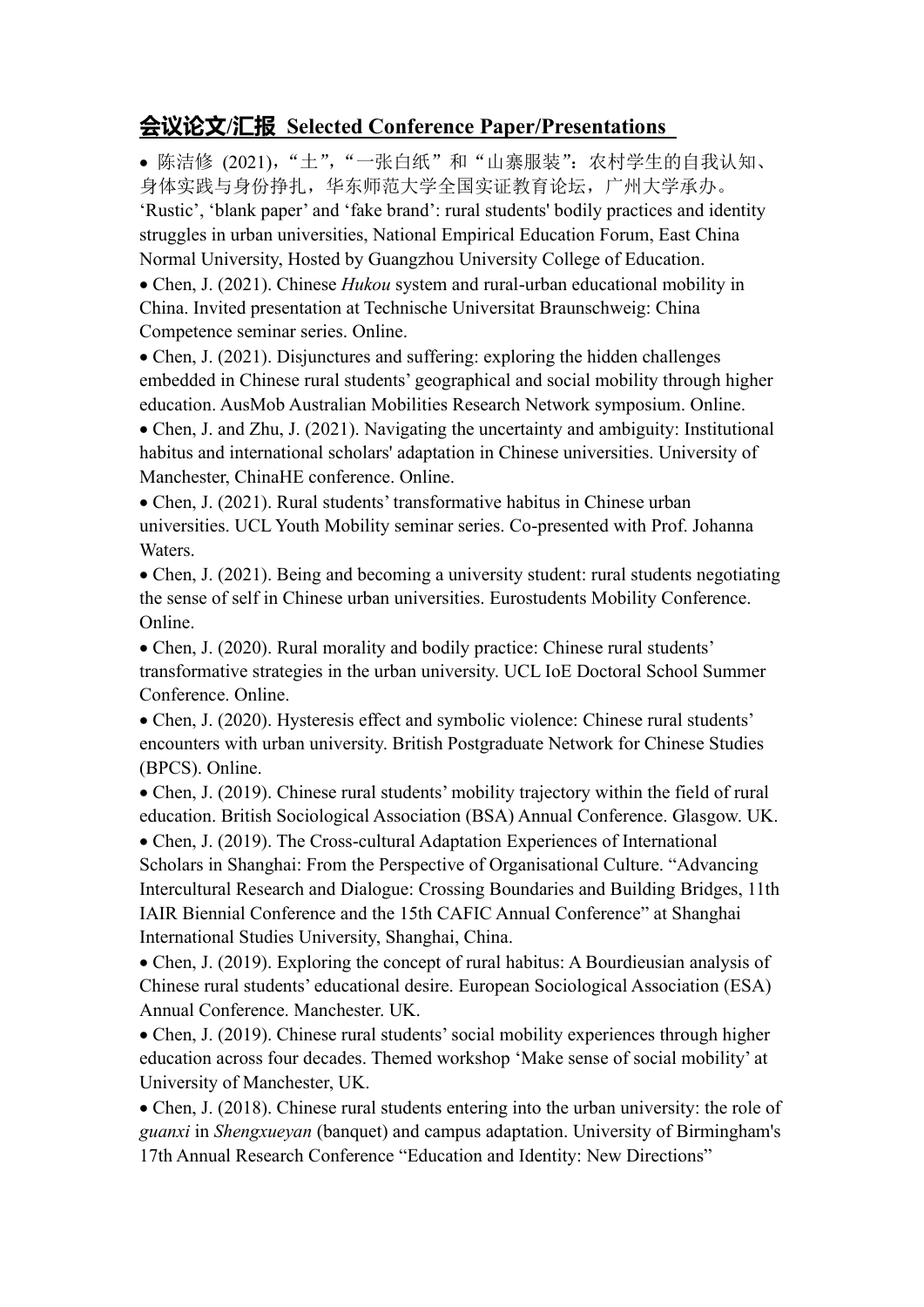#### **会议论文/汇报 Selected Conference Paper/Presentations**

• 陈洁修 (2021), "土", "一张白纸"和"山寨服装": 农村学生的自我认知、 身体实践与身份挣扎,华东师范大学全国实证教育论坛,广州大学承办。 'Rustic', 'blank paper' and 'fake brand': rural students' bodily practices and identity struggles in urban universities, National Empirical Education Forum, East China Normal University, Hosted by Guangzhou University College of Education.

• Chen, J. (2021). Chinese *Hukou* system and rural-urban educational mobility in China. Invited presentation at Technische Universitat Braunschweig: China Competence seminar series. Online.

• Chen, J. (2021). Disjunctures and suffering: exploring the hidden challenges embedded in Chinese rural students' geographical and social mobility through higher education. AusMob Australian Mobilities Research Network symposium. Online.

• Chen, J. and Zhu, J. (2021). Navigating the uncertainty and ambiguity: Institutional habitus and international scholars' adaptation in Chinese universities. University of Manchester, ChinaHE conference. Online.

• Chen, J. (2021). Rural students' transformative habitus in Chinese urban universities. UCL Youth Mobility seminar series. Co-presented with Prof. Johanna Waters.

• Chen, J. (2021). Being and becoming a university student: rural students negotiating the sense of self in Chinese urban universities. Eurostudents Mobility Conference. Online.

• Chen, J. (2020). Rural morality and bodily practice: Chinese rural students' transformative strategies in the urban university. UCL IoE Doctoral School Summer Conference. Online.

• Chen, J. (2020). Hysteresis effect and symbolic violence: Chinese rural students' encounters with urban university. British Postgraduate Network for Chinese Studies (BPCS). Online.

• Chen, J. (2019). Chinese rural students' mobility trajectory within the field of rural education. British Sociological Association (BSA) Annual Conference. Glasgow. UK.

• Chen, J. (2019). The Cross-cultural Adaptation Experiences of International Scholars in Shanghai: From the Perspective of Organisational Culture. "Advancing Intercultural Research and Dialogue: Crossing Boundaries and Building Bridges, 11th IAIR Biennial Conference and the 15th CAFIC Annual Conference" at Shanghai International Studies University, Shanghai, China.

• Chen, J. (2019). Exploring the concept of rural habitus: A Bourdieusian analysis of Chinese rural students' educational desire. European Sociological Association (ESA) Annual Conference. Manchester. UK.

• Chen, J. (2019). Chinese rural students' social mobility experiences through higher education across four decades. Themed workshop 'Make sense of social mobility' at University of Manchester, UK.

• Chen, J. (2018). Chinese rural students entering into the urban university: the role of *guanxi* in *Shengxueyan* (banquet) and campus adaptation. University of Birmingham's 17th Annual Research Conference "Education and Identity: New Directions"